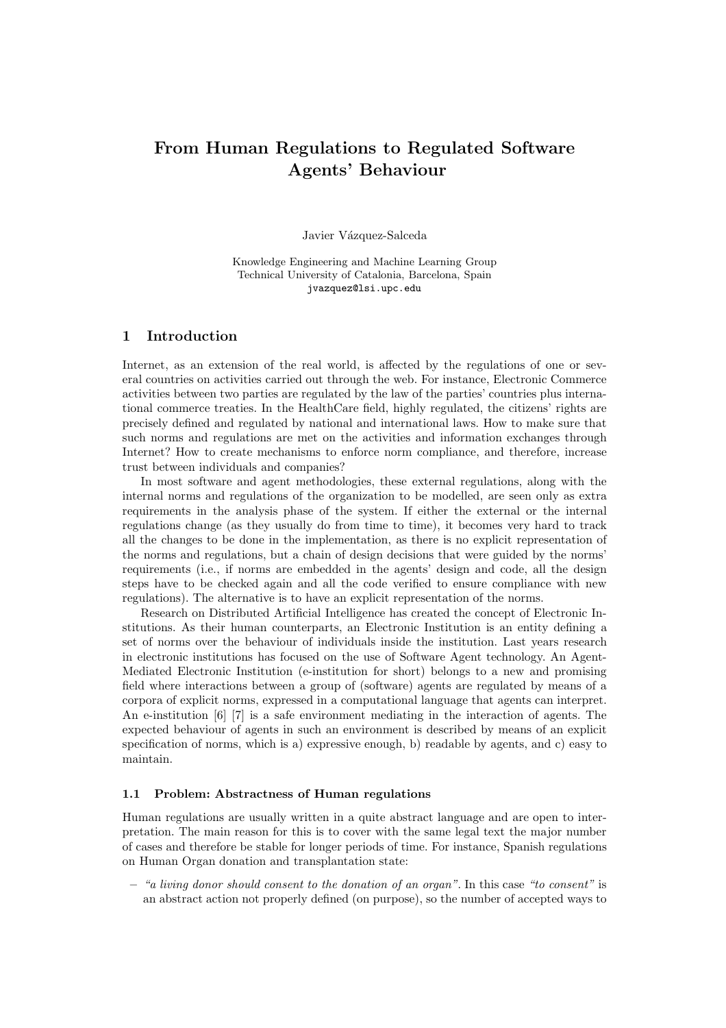# **From Human Regulations to Regulated Software Agents' Behaviour**

Javier Vázquez-Salceda

Knowledge Engineering and Machine Learning Group Technical University of Catalonia, Barcelona, Spain jvazquez@lsi.upc.edu

#### **1 Introduction**

Internet, as an extension of the real world, is affected by the regulations of one or several countries on activities carried out through the web. For instance, Electronic Commerce activities between two parties are regulated by the law of the parties' countries plus international commerce treaties. In the HealthCare field, highly regulated, the citizens' rights are precisely defined and regulated by national and international laws. How to make sure that such norms and regulations are met on the activities and information exchanges through Internet? How to create mechanisms to enforce norm compliance, and therefore, increase trust between individuals and companies?

In most software and agent methodologies, these external regulations, along with the internal norms and regulations of the organization to be modelled, are seen only as extra requirements in the analysis phase of the system. If either the external or the internal regulations change (as they usually do from time to time), it becomes very hard to track all the changes to be done in the implementation, as there is no explicit representation of the norms and regulations, but a chain of design decisions that were guided by the norms' requirements (i.e., if norms are embedded in the agents' design and code, all the design steps have to be checked again and all the code verified to ensure compliance with new regulations). The alternative is to have an explicit representation of the norms.

Research on Distributed Artificial Intelligence has created the concept of Electronic Institutions. As their human counterparts, an Electronic Institution is an entity defining a set of norms over the behaviour of individuals inside the institution. Last years research in electronic institutions has focused on the use of Software Agent technology. An Agent-Mediated Electronic Institution (e-institution for short) belongs to a new and promising field where interactions between a group of (software) agents are regulated by means of a corpora of explicit norms, expressed in a computational language that agents can interpret. An e-institution [6] [7] is a safe environment mediating in the interaction of agents. The expected behaviour of agents in such an environment is described by means of an explicit specification of norms, which is a) expressive enough, b) readable by agents, and c) easy to maintain.

#### **1.1 Problem: Abstractness of Human regulations**

Human regulations are usually written in a quite abstract language and are open to interpretation. The main reason for this is to cover with the same legal text the major number of cases and therefore be stable for longer periods of time. For instance, Spanish regulations on Human Organ donation and transplantation state:

**–** *"a living donor should consent to the donation of an organ"*. In this case *"to consent"* is an abstract action not properly defined (on purpose), so the number of accepted ways to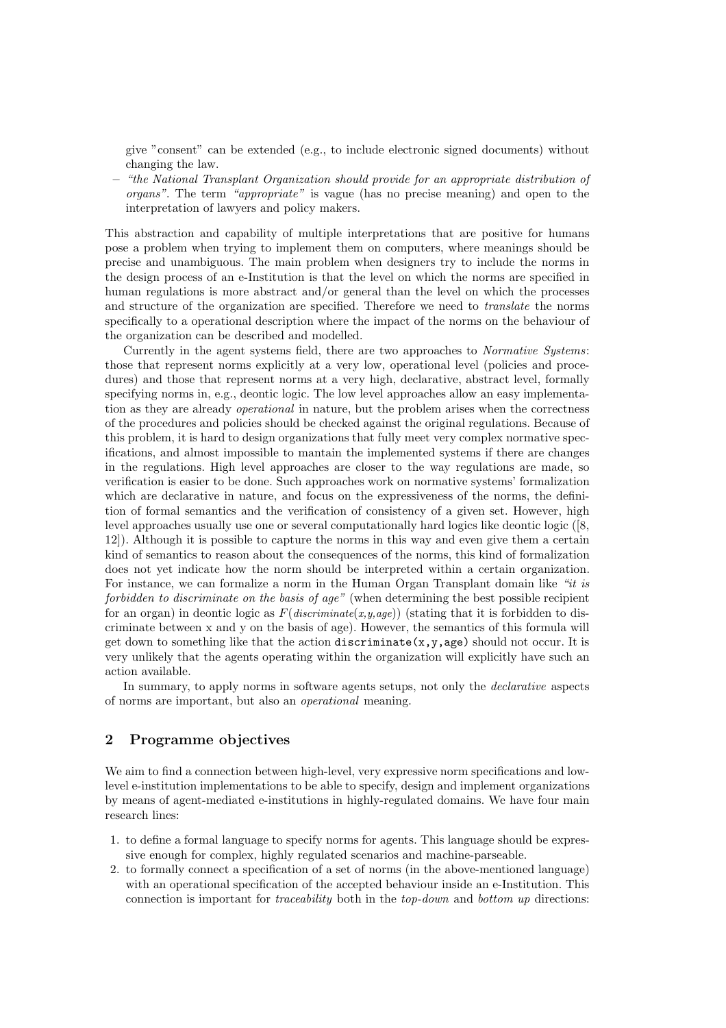give "consent" can be extended (e.g., to include electronic signed documents) without changing the law.

**–** *"the National Transplant Organization should provide for an appropriate distribution of organs"*. The term *"appropriate"* is vague (has no precise meaning) and open to the interpretation of lawyers and policy makers.

This abstraction and capability of multiple interpretations that are positive for humans pose a problem when trying to implement them on computers, where meanings should be precise and unambiguous. The main problem when designers try to include the norms in the design process of an e-Institution is that the level on which the norms are specified in human regulations is more abstract and/or general than the level on which the processes and structure of the organization are specified. Therefore we need to *translate* the norms specifically to a operational description where the impact of the norms on the behaviour of the organization can be described and modelled.

Currently in the agent systems field, there are two approaches to *Normative Systems*: those that represent norms explicitly at a very low, operational level (policies and procedures) and those that represent norms at a very high, declarative, abstract level, formally specifying norms in, e.g., deontic logic. The low level approaches allow an easy implementation as they are already *operational* in nature, but the problem arises when the correctness of the procedures and policies should be checked against the original regulations. Because of this problem, it is hard to design organizations that fully meet very complex normative specifications, and almost impossible to mantain the implemented systems if there are changes in the regulations. High level approaches are closer to the way regulations are made, so verification is easier to be done. Such approaches work on normative systems' formalization which are declarative in nature, and focus on the expressiveness of the norms, the definition of formal semantics and the verification of consistency of a given set. However, high level approaches usually use one or several computationally hard logics like deontic logic ([8, 12]). Although it is possible to capture the norms in this way and even give them a certain kind of semantics to reason about the consequences of the norms, this kind of formalization does not yet indicate how the norm should be interpreted within a certain organization. For instance, we can formalize a norm in the Human Organ Transplant domain like *"it is forbidden to discriminate on the basis of age"* (when determining the best possible recipient for an organ) in deontic logic as  $F(discriminate(x,y,age))$  (stating that it is forbidden to discriminate between x and y on the basis of age). However, the semantics of this formula will get down to something like that the action discriminate  $(x, y, \text{age})$  should not occur. It is very unlikely that the agents operating within the organization will explicitly have such an action available.

In summary, to apply norms in software agents setups, not only the *declarative* aspects of norms are important, but also an *operational* meaning.

## **2 Programme objectives**

We aim to find a connection between high-level, very expressive norm specifications and lowlevel e-institution implementations to be able to specify, design and implement organizations by means of agent-mediated e-institutions in highly-regulated domains. We have four main research lines:

- 1. to define a formal language to specify norms for agents. This language should be expressive enough for complex, highly regulated scenarios and machine-parseable.
- 2. to formally connect a specification of a set of norms (in the above-mentioned language) with an operational specification of the accepted behaviour inside an e-Institution. This connection is important for *traceability* both in the *top-down* and *bottom up* directions: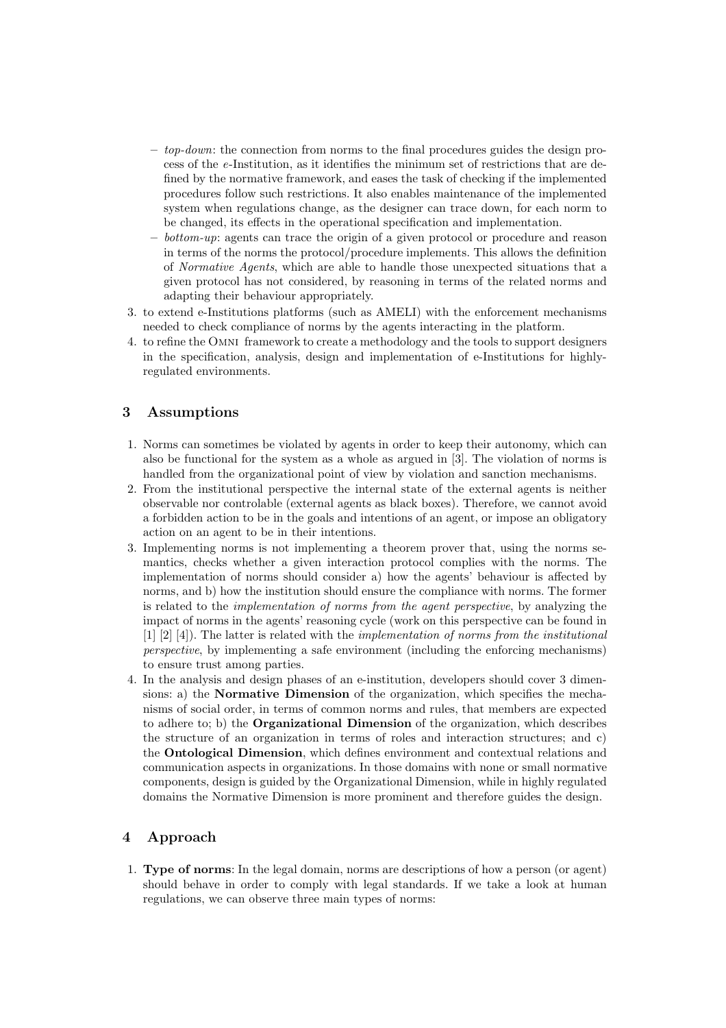- **–** *top-down*: the connection from norms to the final procedures guides the design process of the *e*-Institution, as it identifies the minimum set of restrictions that are defined by the normative framework, and eases the task of checking if the implemented procedures follow such restrictions. It also enables maintenance of the implemented system when regulations change, as the designer can trace down, for each norm to be changed, its effects in the operational specification and implementation.
- **–** *bottom-up*: agents can trace the origin of a given protocol or procedure and reason in terms of the norms the protocol/procedure implements. This allows the definition of *Normative Agents*, which are able to handle those unexpected situations that a given protocol has not considered, by reasoning in terms of the related norms and adapting their behaviour appropriately.
- 3. to extend e-Institutions platforms (such as AMELI) with the enforcement mechanisms needed to check compliance of norms by the agents interacting in the platform.
- 4. to refine the Omni framework to create a methodology and the tools to support designers in the specification, analysis, design and implementation of e-Institutions for highlyregulated environments.

### **3 Assumptions**

- 1. Norms can sometimes be violated by agents in order to keep their autonomy, which can also be functional for the system as a whole as argued in [3]. The violation of norms is handled from the organizational point of view by violation and sanction mechanisms.
- 2. From the institutional perspective the internal state of the external agents is neither observable nor controlable (external agents as black boxes). Therefore, we cannot avoid a forbidden action to be in the goals and intentions of an agent, or impose an obligatory action on an agent to be in their intentions.
- 3. Implementing norms is not implementing a theorem prover that, using the norms semantics, checks whether a given interaction protocol complies with the norms. The implementation of norms should consider a) how the agents' behaviour is affected by norms, and b) how the institution should ensure the compliance with norms. The former is related to the *implementation of norms from the agent perspective*, by analyzing the impact of norms in the agents' reasoning cycle (work on this perspective can be found in [1] [2] [4]). The latter is related with the *implementation of norms from the institutional perspective*, by implementing a safe environment (including the enforcing mechanisms) to ensure trust among parties.
- 4. In the analysis and design phases of an e-institution, developers should cover 3 dimensions: a) the **Normative Dimension** of the organization, which specifies the mechanisms of social order, in terms of common norms and rules, that members are expected to adhere to; b) the **Organizational Dimension** of the organization, which describes the structure of an organization in terms of roles and interaction structures; and c) the **Ontological Dimension**, which defines environment and contextual relations and communication aspects in organizations. In those domains with none or small normative components, design is guided by the Organizational Dimension, while in highly regulated domains the Normative Dimension is more prominent and therefore guides the design.

### **4 Approach**

1. **Type of norms**: In the legal domain, norms are descriptions of how a person (or agent) should behave in order to comply with legal standards. If we take a look at human regulations, we can observe three main types of norms: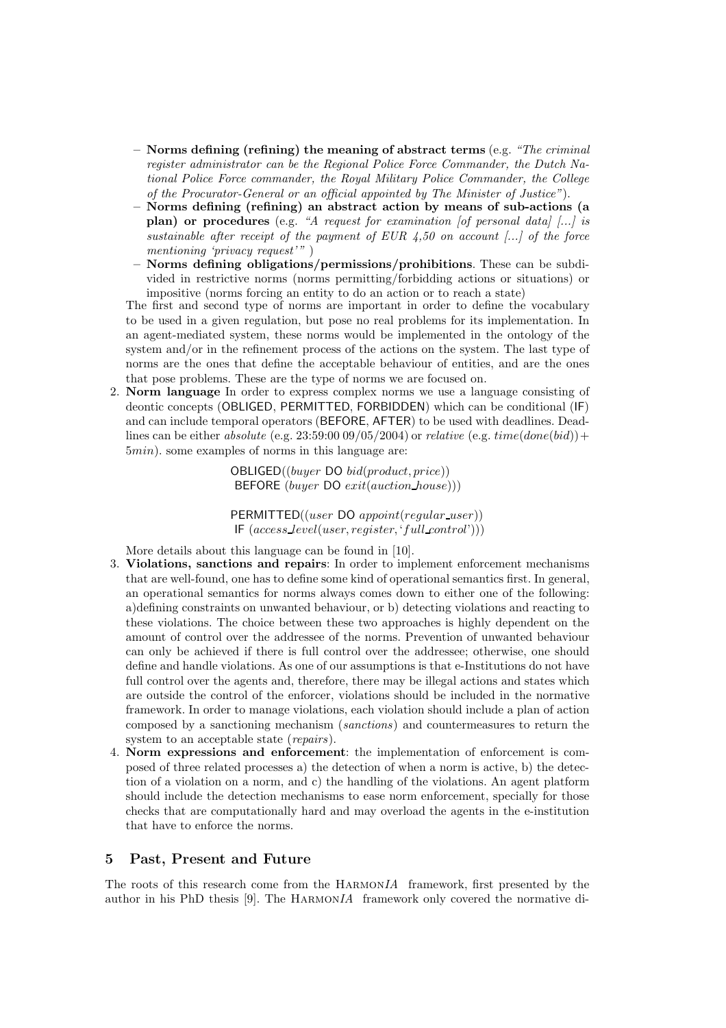- **Norms defining (refining) the meaning of abstract terms** (e.g. *"The criminal register administrator can be the Regional Police Force Commander, the Dutch National Police Force commander, the Royal Military Police Commander, the College of the Procurator-General or an official appointed by The Minister of Justice"*).
- **Norms defining (refining) an abstract action by means of sub-actions (a plan) or procedures** (e.g. *"A request for examination [of personal data] [...] is sustainable after receipt of the payment of EUR 4,50 on account [...] of the force mentioning 'privacy request' "* )
- **Norms defining obligations/permissions/prohibitions**. These can be subdivided in restrictive norms (norms permitting/forbidding actions or situations) or impositive (norms forcing an entity to do an action or to reach a state)

The first and second type of norms are important in order to define the vocabulary to be used in a given regulation, but pose no real problems for its implementation. In an agent-mediated system, these norms would be implemented in the ontology of the system and/or in the refinement process of the actions on the system. The last type of norms are the ones that define the acceptable behaviour of entities, and are the ones that pose problems. These are the type of norms we are focused on.

2. **Norm language** In order to express complex norms we use a language consisting of deontic concepts (OBLIGED, PERMITTED, FORBIDDEN) which can be conditional (IF) and can include temporal operators (BEFORE, AFTER) to be used with deadlines. Deadlines can be either *absolute* (e.g.  $23:59:0009/05/2004$ ) or *relative* (e.g. *time*(*done*(*bid*)) + 5*min*). some examples of norms in this language are:

> OBLIGED((*buyer* DO *bid*(*product, price*)) BEFORE (*buyer* DO *exit*(*auction house*)))

PERMITTED((*user* DO *appoint*(*regular user*)) IF (*access level*(*user, register,* '*full control*')))

More details about this language can be found in [10].

- 3. **Violations, sanctions and repairs**: In order to implement enforcement mechanisms that are well-found, one has to define some kind of operational semantics first. In general, an operational semantics for norms always comes down to either one of the following: a)defining constraints on unwanted behaviour, or b) detecting violations and reacting to these violations. The choice between these two approaches is highly dependent on the amount of control over the addressee of the norms. Prevention of unwanted behaviour can only be achieved if there is full control over the addressee; otherwise, one should define and handle violations. As one of our assumptions is that e-Institutions do not have full control over the agents and, therefore, there may be illegal actions and states which are outside the control of the enforcer, violations should be included in the normative framework. In order to manage violations, each violation should include a plan of action composed by a sanctioning mechanism (*sanctions*) and countermeasures to return the system to an acceptable state (*repairs*).
- 4. **Norm expressions and enforcement**: the implementation of enforcement is composed of three related processes a) the detection of when a norm is active, b) the detection of a violation on a norm, and c) the handling of the violations. An agent platform should include the detection mechanisms to ease norm enforcement, specially for those checks that are computationally hard and may overload the agents in the e-institution that have to enforce the norms.

#### **5 Past, Present and Future**

The roots of this research come from the Harmon*IA* framework, first presented by the author in his PhD thesis [9]. The Harmon*IA* framework only covered the normative di